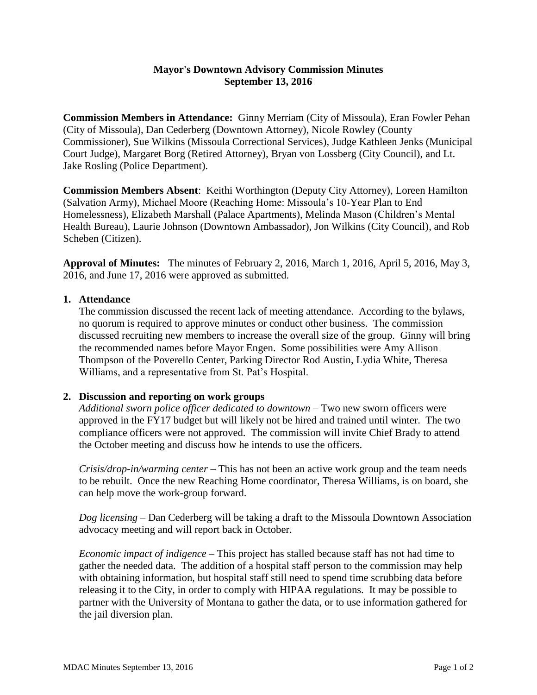## **Mayor's Downtown Advisory Commission Minutes September 13, 2016**

**Commission Members in Attendance:** Ginny Merriam (City of Missoula), Eran Fowler Pehan (City of Missoula), Dan Cederberg (Downtown Attorney), Nicole Rowley (County Commissioner), Sue Wilkins (Missoula Correctional Services), Judge Kathleen Jenks (Municipal Court Judge), Margaret Borg (Retired Attorney), Bryan von Lossberg (City Council), and Lt. Jake Rosling (Police Department).

**Commission Members Absent**: Keithi Worthington (Deputy City Attorney), Loreen Hamilton (Salvation Army), Michael Moore (Reaching Home: Missoula's 10-Year Plan to End Homelessness), Elizabeth Marshall (Palace Apartments), Melinda Mason (Children's Mental Health Bureau), Laurie Johnson (Downtown Ambassador), Jon Wilkins (City Council), and Rob Scheben (Citizen).

**Approval of Minutes:** The minutes of February 2, 2016, March 1, 2016, April 5, 2016, May 3, 2016, and June 17, 2016 were approved as submitted.

## **1. Attendance**

The commission discussed the recent lack of meeting attendance. According to the bylaws, no quorum is required to approve minutes or conduct other business. The commission discussed recruiting new members to increase the overall size of the group. Ginny will bring the recommended names before Mayor Engen. Some possibilities were Amy Allison Thompson of the Poverello Center, Parking Director Rod Austin, Lydia White, Theresa Williams, and a representative from St. Pat's Hospital.

## **2. Discussion and reporting on work groups**

*Additional sworn police officer dedicated to downtown* – Two new sworn officers were approved in the FY17 budget but will likely not be hired and trained until winter. The two compliance officers were not approved. The commission will invite Chief Brady to attend the October meeting and discuss how he intends to use the officers.

*Crisis/drop-in/warming center* – This has not been an active work group and the team needs to be rebuilt. Once the new Reaching Home coordinator, Theresa Williams, is on board, she can help move the work-group forward.

*Dog licensing –* Dan Cederberg will be taking a draft to the Missoula Downtown Association advocacy meeting and will report back in October.

*Economic impact of indigence –* This project has stalled because staff has not had time to gather the needed data. The addition of a hospital staff person to the commission may help with obtaining information, but hospital staff still need to spend time scrubbing data before releasing it to the City, in order to comply with HIPAA regulations. It may be possible to partner with the University of Montana to gather the data, or to use information gathered for the jail diversion plan.